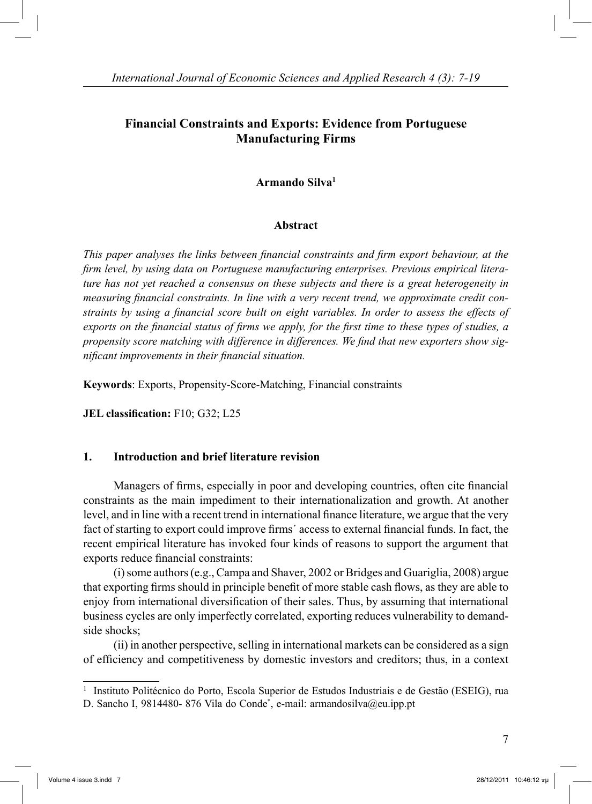# **Financial Constraints and Exports: Evidence from Portuguese Manufacturing Firms**

## **Armando Silva1**

### **Abstract**

*This paper analyses the links between financial constraints and firm export behaviour, at the firm level, by using data on Portuguese manufacturing enterprises. Previous empirical literature has not yet reached a consensus on these subjects and there is a great heterogeneity in measuring financial constraints. In line with a very recent trend, we approximate credit constraints by using a financial score built on eight variables. In order to assess the effects of exports on the financial status of firms we apply, for the first time to these types of studies, a propensity score matching with difference in differences. We find that new exporters show significant improvements in their financial situation.*

**Keywords**: Exports, Propensity-Score-Matching, Financial constraints

**JEL classification:** F10; G32; L25

## **1. Introduction and brief literature revision**

Managers of firms, especially in poor and developing countries, often cite financial constraints as the main impediment to their internationalization and growth. At another level, and in line with a recent trend in international finance literature, we argue that the very fact of starting to export could improve firms´ access to external financial funds. In fact, the recent empirical literature has invoked four kinds of reasons to support the argument that exports reduce financial constraints:

(i) some authors (e.g., Campa and Shaver, 2002 or Bridges and Guariglia, 2008) argue that exporting firms should in principle benefit of more stable cash flows, as they are able to enjoy from international diversification of their sales. Thus, by assuming that international business cycles are only imperfectly correlated, exporting reduces vulnerability to demandside shocks;

(ii) in another perspective, selling in international markets can be considered as a sign of efficiency and competitiveness by domestic investors and creditors; thus, in a context

<sup>1</sup> Instituto Politécnico do Porto, Escola Superior de Estudos Industriais e de Gestão (ESEIG), rua D. Sancho I, 9814480-876 Vila do Conde<sup>\*</sup>, e-mail: armandosilva@eu.ipp.pt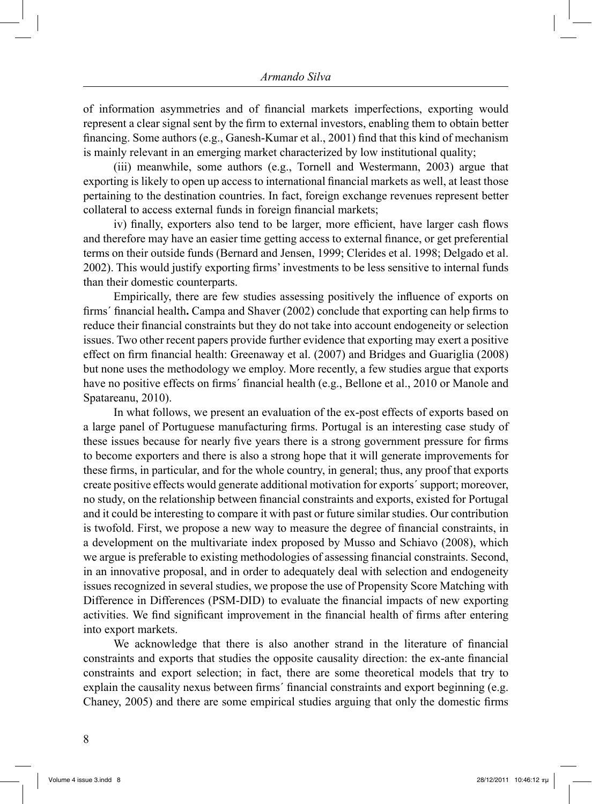of information asymmetries and of financial markets imperfections, exporting would represent a clear signal sent by the firm to external investors, enabling them to obtain better financing. Some authors (e.g., Ganesh-Kumar et al., 2001) find that this kind of mechanism is mainly relevant in an emerging market characterized by low institutional quality;

(iii) meanwhile, some authors (e.g., Tornell and Westermann, 2003) argue that exporting is likely to open up access to international financial markets as well, at least those pertaining to the destination countries. In fact, foreign exchange revenues represent better collateral to access external funds in foreign financial markets;

iv) finally, exporters also tend to be larger, more efficient, have larger cash flows and therefore may have an easier time getting access to external finance, or get preferential terms on their outside funds (Bernard and Jensen, 1999; Clerides et al. 1998; Delgado et al. 2002). This would justify exporting firms' investments to be less sensitive to internal funds than their domestic counterparts.

Empirically, there are few studies assessing positively the influence of exports on firms´ financial health**.** Campa and Shaver (2002) conclude that exporting can help firms to reduce their financial constraints but they do not take into account endogeneity or selection issues. Two other recent papers provide further evidence that exporting may exert a positive effect on firm financial health: Greenaway et al. (2007) and Bridges and Guariglia (2008) but none uses the methodology we employ. More recently, a few studies argue that exports have no positive effects on firms' financial health (e.g., Bellone et al., 2010 or Manole and Spatareanu, 2010).

 In what follows, we present an evaluation of the ex-post effects of exports based on a large panel of Portuguese manufacturing firms. Portugal is an interesting case study of these issues because for nearly five years there is a strong government pressure for firms to become exporters and there is also a strong hope that it will generate improvements for these firms, in particular, and for the whole country, in general; thus, any proof that exports create positive effects would generate additional motivation for exports´ support; moreover, no study, on the relationship between financial constraints and exports, existed for Portugal and it could be interesting to compare it with past or future similar studies. Our contribution is twofold. First, we propose a new way to measure the degree of financial constraints, in a development on the multivariate index proposed by Musso and Schiavo (2008), which we argue is preferable to existing methodologies of assessing financial constraints. Second, in an innovative proposal, and in order to adequately deal with selection and endogeneity issues recognized in several studies, we propose the use of Propensity Score Matching with Difference in Differences (PSM-DID) to evaluate the financial impacts of new exporting activities. We find significant improvement in the financial health of firms after entering into export markets.

We acknowledge that there is also another strand in the literature of financial constraints and exports that studies the opposite causality direction: the ex-ante financial constraints and export selection; in fact, there are some theoretical models that try to explain the causality nexus between firms´ financial constraints and export beginning (e.g. Chaney, 2005) and there are some empirical studies arguing that only the domestic firms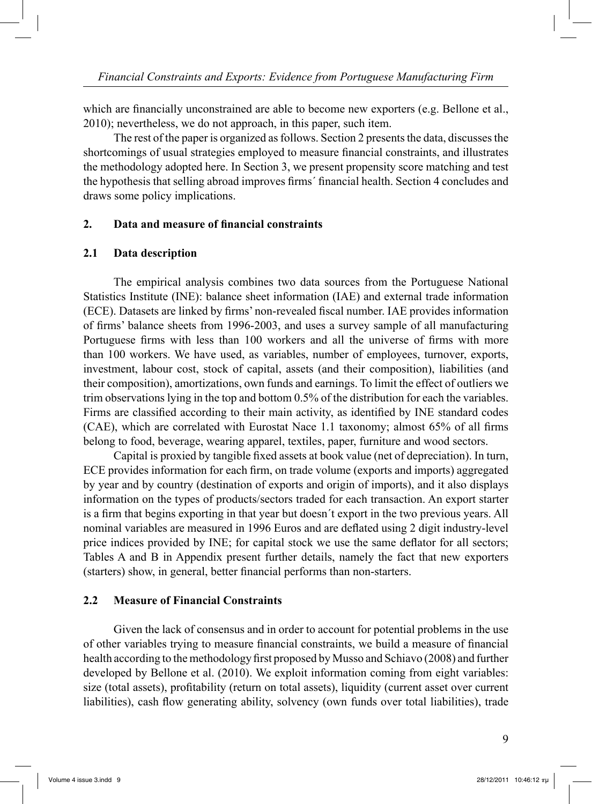which are financially unconstrained are able to become new exporters (e.g. Bellone et al., 2010); nevertheless, we do not approach, in this paper, such item.

The rest of the paper is organized as follows. Section 2 presents the data, discusses the shortcomings of usual strategies employed to measure financial constraints, and illustrates the methodology adopted here. In Section 3, we present propensity score matching and test the hypothesis that selling abroad improves firms´ financial health. Section 4 concludes and draws some policy implications.

### **2. Data and measure of financial constraints**

#### **2.1 Data description**

The empirical analysis combines two data sources from the Portuguese National Statistics Institute (INE): balance sheet information (IAE) and external trade information (ECE). Datasets are linked by firms' non-revealed fiscal number. IAE provides information of firms' balance sheets from 1996-2003, and uses a survey sample of all manufacturing Portuguese firms with less than 100 workers and all the universe of firms with more than 100 workers. We have used, as variables, number of employees, turnover, exports, investment, labour cost, stock of capital, assets (and their composition), liabilities (and their composition), amortizations, own funds and earnings. To limit the effect of outliers we trim observations lying in the top and bottom 0.5% of the distribution for each the variables. Firms are classified according to their main activity, as identified by INE standard codes (CAE), which are correlated with Eurostat Nace 1.1 taxonomy; almost 65% of all firms belong to food, beverage, wearing apparel, textiles, paper, furniture and wood sectors.

Capital is proxied by tangible fixed assets at book value (net of depreciation). In turn, ECE provides information for each firm, on trade volume (exports and imports) aggregated by year and by country (destination of exports and origin of imports), and it also displays information on the types of products/sectors traded for each transaction. An export starter is a firm that begins exporting in that year but doesn´t export in the two previous years. All nominal variables are measured in 1996 Euros and are deflated using 2 digit industry-level price indices provided by INE; for capital stock we use the same deflator for all sectors; Tables A and B in Appendix present further details, namely the fact that new exporters (starters) show, in general, better financial performs than non-starters.

## **2.2 Measure of Financial Constraints**

Given the lack of consensus and in order to account for potential problems in the use of other variables trying to measure financial constraints, we build a measure of financial health according to the methodology first proposed by Musso and Schiavo (2008) and further developed by Bellone et al. (2010). We exploit information coming from eight variables: size (total assets), profitability (return on total assets), liquidity (current asset over current liabilities), cash flow generating ability, solvency (own funds over total liabilities), trade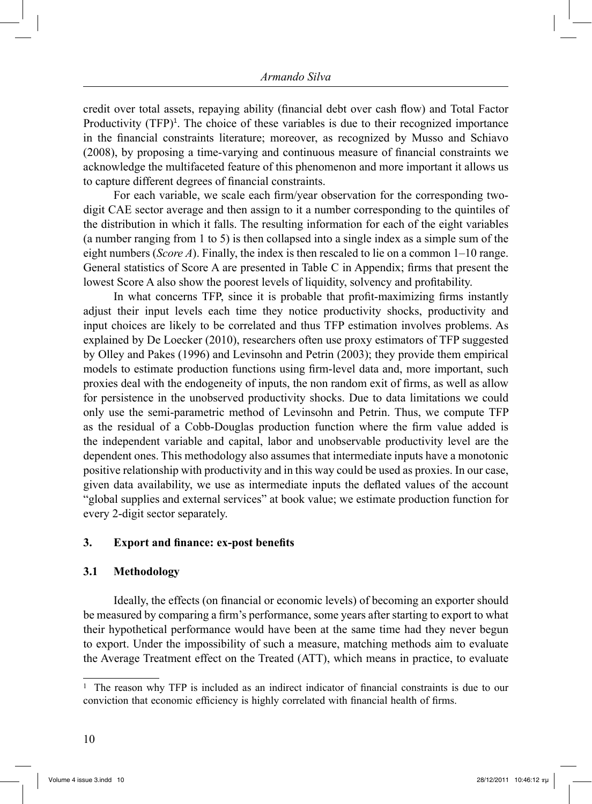credit over total assets, repaying ability (financial debt over cash flow) and Total Factor Productivity (TFP)<sup>1</sup>. The choice of these variables is due to their recognized importance in the financial constraints literature; moreover, as recognized by Musso and Schiavo (2008), by proposing a time-varying and continuous measure of financial constraints we acknowledge the multifaceted feature of this phenomenon and more important it allows us to capture different degrees of financial constraints.

For each variable, we scale each firm/year observation for the corresponding twodigit CAE sector average and then assign to it a number corresponding to the quintiles of the distribution in which it falls. The resulting information for each of the eight variables (a number ranging from 1 to 5) is then collapsed into a single index as a simple sum of the eight numbers (*Score A*). Finally, the index is then rescaled to lie on a common 1–10 range. General statistics of Score A are presented in Table C in Appendix; firms that present the lowest Score A also show the poorest levels of liquidity, solvency and profitability.

In what concerns TFP, since it is probable that profit-maximizing firms instantly adjust their input levels each time they notice productivity shocks, productivity and input choices are likely to be correlated and thus TFP estimation involves problems. As explained by De Loecker (2010), researchers often use proxy estimators of TFP suggested by Olley and Pakes (1996) and Levinsohn and Petrin (2003); they provide them empirical models to estimate production functions using firm-level data and, more important, such proxies deal with the endogeneity of inputs, the non random exit of firms, as well as allow for persistence in the unobserved productivity shocks. Due to data limitations we could only use the semi-parametric method of Levinsohn and Petrin. Thus, we compute TFP as the residual of a Cobb-Douglas production function where the firm value added is the independent variable and capital, labor and unobservable productivity level are the dependent ones. This methodology also assumes that intermediate inputs have a monotonic positive relationship with productivity and in this way could be used as proxies. In our case, given data availability, we use as intermediate inputs the deflated values of the account "global supplies and external services" at book value; we estimate production function for every 2-digit sector separately.

#### **3. Export and finance: ex-post benefits**

#### **3.1 Methodology**

 Ideally, the effects (on financial or economic levels) of becoming an exporter should be measured by comparing a firm's performance, some years after starting to export to what their hypothetical performance would have been at the same time had they never begun to export. Under the impossibility of such a measure, matching methods aim to evaluate the Average Treatment effect on the Treated (ATT), which means in practice, to evaluate

<sup>1</sup> The reason why TFP is included as an indirect indicator of financial constraints is due to our conviction that economic efficiency is highly correlated with financial health of firms.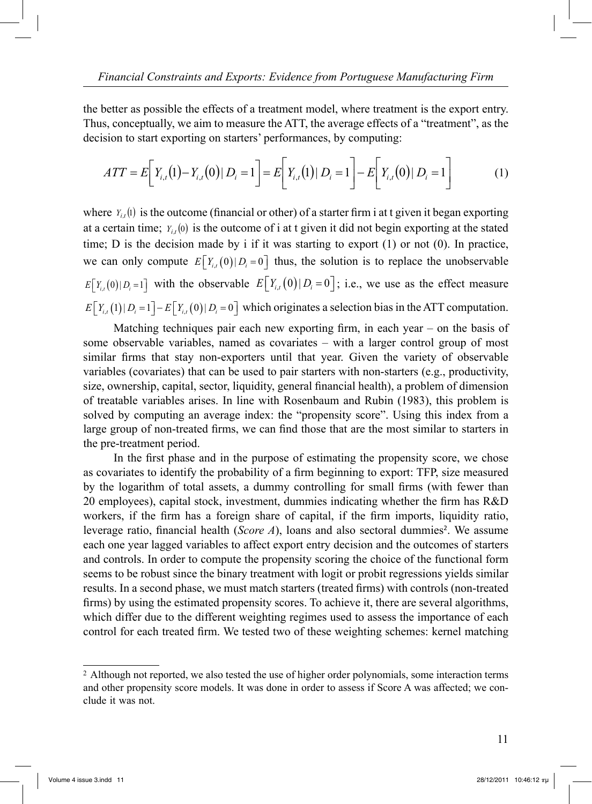the better as possible the effects of a treatment model, where treatment is the export entry. Thus, conceptually, we aim to measure the ATT, the average effects of a "treatment", as the decision to start exporting on starters' performances, by computing:

$$
ATT = E\bigg[Y_{i,t}(1) - Y_{i,t}(0) | D_i = 1\bigg] = E\bigg[Y_{i,t}(1) | D_i = 1\bigg] - E\bigg[Y_{i,t}(0) | D_i = 1\bigg] \tag{1}
$$

where  $Y_{i,t}(t)$  is the outcome (financial or other) of a starter firm i at t given it began exporting at a certain time;  $Y_{i,t}(0)$  is the outcome of i at t given it did not begin exporting at the stated time; D is the decision made by i if it was starting to export (1) or not (0). In practice, we can only compute  $E[Y_{i}(0)|D_i=0]$  thus, the solution is to replace the unobservable  $E[Y_{i,t}(0)|D_i=1]$  with the observable  $E[Y_{i,t}(0)|D_i=0]$ ; i.e., we use as the effect measure  $E[Y_{i,t}(1) | D_i = 1] - E[Y_{i,t}(0) | D_i = 0]$  which originates a selection bias in the ATT computation.

Matching techniques pair each new exporting firm, in each year – on the basis of some observable variables, named as covariates – with a larger control group of most similar firms that stay non-exporters until that year. Given the variety of observable variables (covariates) that can be used to pair starters with non-starters (e.g., productivity, size, ownership, capital, sector, liquidity, general financial health), a problem of dimension of treatable variables arises. In line with Rosenbaum and Rubin (1983), this problem is solved by computing an average index: the "propensity score". Using this index from a large group of non-treated firms, we can find those that are the most similar to starters in the pre-treatment period.

In the first phase and in the purpose of estimating the propensity score, we chose as covariates to identify the probability of a firm beginning to export: TFP, size measured by the logarithm of total assets, a dummy controlling for small firms (with fewer than 20 employees), capital stock, investment, dummies indicating whether the firm has R&D workers, if the firm has a foreign share of capital, if the firm imports, liquidity ratio, leverage ratio, financial health (*Score A*), loans and also sectoral dummies<sup>2</sup>. We assume each one year lagged variables to affect export entry decision and the outcomes of starters and controls. In order to compute the propensity scoring the choice of the functional form seems to be robust since the binary treatment with logit or probit regressions yields similar results. In a second phase, we must match starters (treated firms) with controls (non-treated firms) by using the estimated propensity scores. To achieve it, there are several algorithms, which differ due to the different weighting regimes used to assess the importance of each control for each treated firm. We tested two of these weighting schemes: kernel matching

<sup>&</sup>lt;sup>2</sup> Although not reported, we also tested the use of higher order polynomials, some interaction terms and other propensity score models. It was done in order to assess if Score A was affected; we conclude it was not.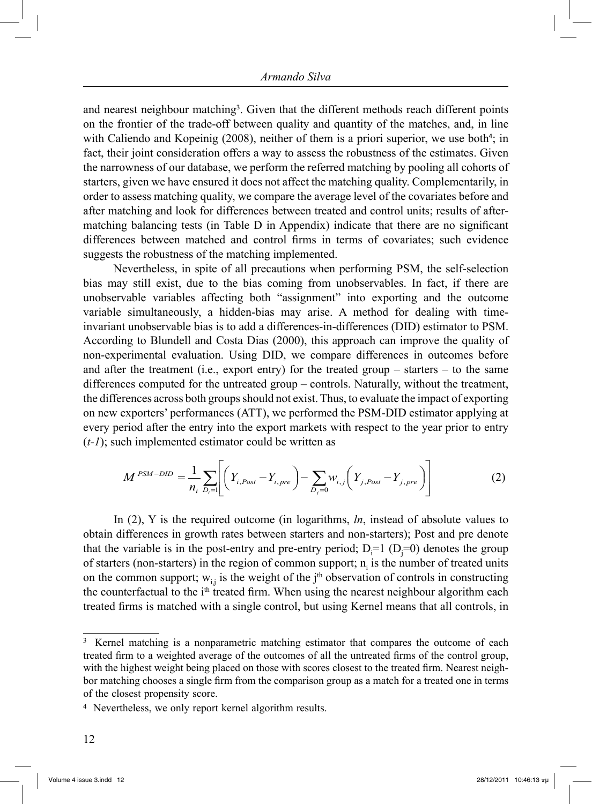and nearest neighbour matching<sup>3</sup>. Given that the different methods reach different points on the frontier of the trade-off between quality and quantity of the matches, and, in line with Caliendo and Kopeinig  $(2008)$ , neither of them is a priori superior, we use both<sup>4</sup>; in fact, their joint consideration offers a way to assess the robustness of the estimates. Given the narrowness of our database, we perform the referred matching by pooling all cohorts of starters, given we have ensured it does not affect the matching quality. Complementarily, in order to assess matching quality, we compare the average level of the covariates before and after matching and look for differences between treated and control units; results of aftermatching balancing tests (in Table D in Appendix) indicate that there are no significant differences between matched and control firms in terms of covariates; such evidence suggests the robustness of the matching implemented.

Nevertheless, in spite of all precautions when performing PSM, the self-selection bias may still exist, due to the bias coming from unobservables. In fact, if there are unobservable variables affecting both "assignment" into exporting and the outcome variable simultaneously, a hidden-bias may arise. A method for dealing with timeinvariant unobservable bias is to add a differences-in-differences (DID) estimator to PSM. According to Blundell and Costa Dias (2000), this approach can improve the quality of non-experimental evaluation. Using DID, we compare differences in outcomes before and after the treatment (i.e., export entry) for the treated group – starters – to the same differences computed for the untreated group – controls. Naturally, without the treatment, the differences across both groups should not exist. Thus, to evaluate the impact of exporting on new exporters' performances (ATT), we performed the PSM-DID estimator applying at every period after the entry into the export markets with respect to the year prior to entry (*t-1*); such implemented estimator could be written as

$$
M^{PSM-DID} = \frac{1}{n_i} \sum_{D_i=1} \left[ \left( Y_{i,Post} - Y_{i, pre} \right) - \sum_{D_j=0} w_{i,j} \left( Y_{j,Post} - Y_{j, pre} \right) \right]
$$
(2)

In (2), Y is the required outcome (in logarithms, *ln*, instead of absolute values to obtain differences in growth rates between starters and non-starters); Post and pre denote that the variable is in the post-entry and pre-entry period;  $D_i=1$  ( $D_j=0$ ) denotes the group of starters (non-starters) in the region of common support;  $n<sub>i</sub>$  is the number of treated units on the common support;  $w_{i,j}$  is the weight of the j<sup>th</sup> observation of controls in constructing the counterfactual to the i<sup>th</sup> treated firm. When using the nearest neighbour algorithm each treated firms is matched with a single control, but using Kernel means that all controls, in

<sup>&</sup>lt;sup>3</sup> Kernel matching is a nonparametric matching estimator that compares the outcome of each treated firm to a weighted average of the outcomes of all the untreated firms of the control group, with the highest weight being placed on those with scores closest to the treated firm. Nearest neighbor matching chooses a single firm from the comparison group as a match for a treated one in terms of the closest propensity score.

<sup>4</sup> Nevertheless, we only report kernel algorithm results.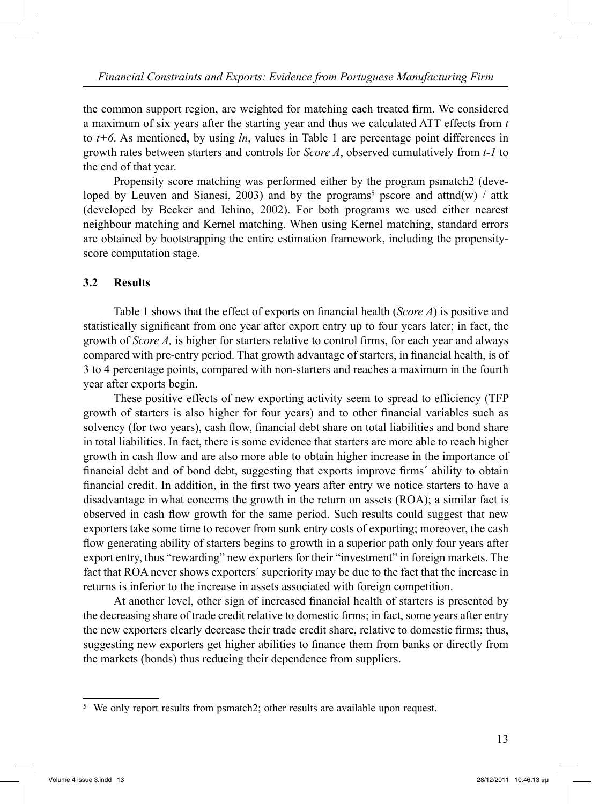the common support region, are weighted for matching each treated firm. We considered a maximum of six years after the starting year and thus we calculated ATT effects from *t* to *t+6*. As mentioned, by using *ln*, values in Table 1 are percentage point differences in growth rates between starters and controls for *Score A*, observed cumulatively from *t-1* to the end of that year.

Propensity score matching was performed either by the program psmatch2 (developed by Leuven and Sianesi, 2003) and by the programs<sup>5</sup> pscore and attnd $(w)$  / attk (developed by Becker and Ichino, 2002). For both programs we used either nearest neighbour matching and Kernel matching. When using Kernel matching, standard errors are obtained by bootstrapping the entire estimation framework, including the propensityscore computation stage.

#### **3.2 Results**

Table 1 shows that the effect of exports on financial health (*Score A*) is positive and statistically significant from one year after export entry up to four years later; in fact, the growth of *Score A,* is higher for starters relative to control firms, for each year and always compared with pre-entry period. That growth advantage of starters, in financial health, is of 3 to 4 percentage points, compared with non-starters and reaches a maximum in the fourth year after exports begin.

These positive effects of new exporting activity seem to spread to efficiency (TFP growth of starters is also higher for four years) and to other financial variables such as solvency (for two years), cash flow, financial debt share on total liabilities and bond share in total liabilities. In fact, there is some evidence that starters are more able to reach higher growth in cash flow and are also more able to obtain higher increase in the importance of financial debt and of bond debt, suggesting that exports improve firms´ ability to obtain financial credit. In addition, in the first two years after entry we notice starters to have a disadvantage in what concerns the growth in the return on assets (ROA); a similar fact is observed in cash flow growth for the same period. Such results could suggest that new exporters take some time to recover from sunk entry costs of exporting; moreover, the cash flow generating ability of starters begins to growth in a superior path only four years after export entry, thus "rewarding" new exporters for their "investment" in foreign markets. The fact that ROA never shows exporters´ superiority may be due to the fact that the increase in returns is inferior to the increase in assets associated with foreign competition.

At another level, other sign of increased financial health of starters is presented by the decreasing share of trade credit relative to domestic firms; in fact, some years after entry the new exporters clearly decrease their trade credit share, relative to domestic firms; thus, suggesting new exporters get higher abilities to finance them from banks or directly from the markets (bonds) thus reducing their dependence from suppliers.

<sup>5</sup> We only report results from psmatch2; other results are available upon request.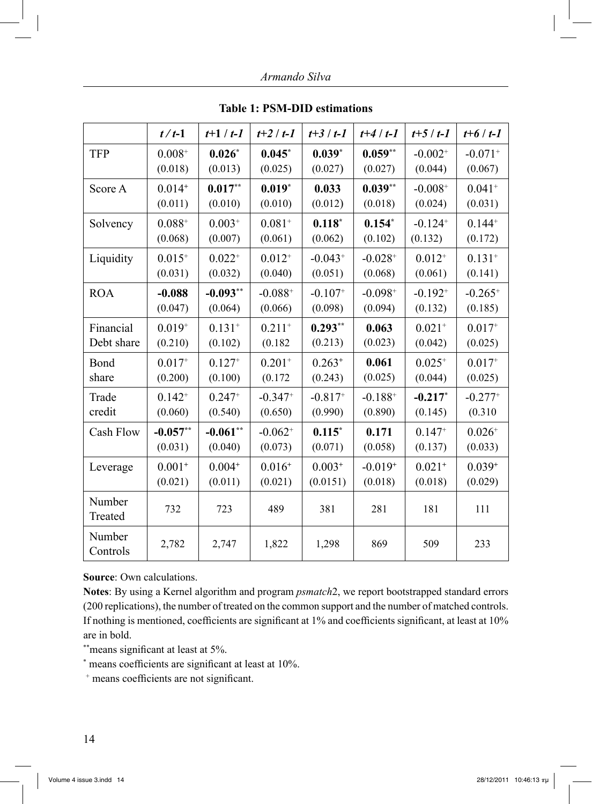*Armando Silva*

|                    | $t/t-1$     | $t+1/t-1$   | $t+2/t-1$    | $t+3/t-1$   | $t+4/t-1$    | $t+5/t-1$             | $t+6/t-1$             |
|--------------------|-------------|-------------|--------------|-------------|--------------|-----------------------|-----------------------|
| <b>TFP</b>         | $0.008+$    | $0.026*$    | $0.045*$     | $0.039*$    | $0.059**$    | $-0.002+$             | $-0.071+$             |
|                    | (0.018)     | (0.013)     | (0.025)      | (0.027)     | (0.027)      | (0.044)               | (0.067)               |
| Score A            | $0.014^{+}$ | $0.017**$   | $0.019*$     | 0.033       | $0.039**$    | $-0.008+$             | $0.041 +$             |
|                    | (0.011)     | (0.010)     | (0.010)      | (0.012)     | (0.018)      | (0.024)               | (0.031)               |
| Solvency           | $0.088^{+}$ | $0.003^{+}$ | $0.081^{+}$  | $0.118*$    | $0.154*$     | $-0.124$ <sup>+</sup> | $0.144^{+}$           |
|                    | (0.068)     | (0.007)     | (0.061)      | (0.062)     | (0.102)      | (0.132)               | (0.172)               |
| Liquidity          | $0.015+$    | $0.022^{+}$ | $0.012^{+}$  | $-0.043+$   | $-0.028+$    | $0.012^{+}$           | $0.131+$              |
|                    | (0.031)     | (0.032)     | (0.040)      | (0.051)     | (0.068)      | (0.061)               | (0.141)               |
| <b>ROA</b>         | $-0.088$    | $-0.093**$  | $-0.088^{+}$ | $-0.107+$   | $-0.098+$    | $-0.192^{+}$          | $-0.265+$             |
|                    | (0.047)     | (0.064)     | (0.066)      | (0.098)     | (0.094)      | (0.132)               | (0.185)               |
| Financial          | $0.019^{+}$ | $0.131+$    | $0.211+$     | $0.293**$   | 0.063        | $0.021+$              | $0.017+$              |
| Debt share         | (0.210)     | (0.102)     | (0.182)      | (0.213)     | (0.023)      | (0.042)               | (0.025)               |
| Bond               | $0.017^{+}$ | $0.127^{+}$ | $0.201+$     | $0.263^{+}$ | 0.061        | $0.025^{+}$           | $0.017^{+}$           |
| share              | (0.200)     | (0.100)     | (0.172)      | (0.243)     | (0.025)      | (0.044)               | (0.025)               |
| Trade              | $0.142^{+}$ | $0.247^{+}$ | $-0.347+$    | $-0.817+$   | $-0.188^{+}$ | $-0.217$ *            | $-0.277$ <sup>+</sup> |
| credit             | (0.060)     | (0.540)     | (0.650)      | (0.990)     | (0.890)      | (0.145)               | (0.310)               |
| Cash Flow          | $-0.057**$  | $-0.061**$  | $-0.062^{+}$ | $0.115*$    | 0.171        | $0.147^{+}$           | $0.026+$              |
|                    | (0.031)     | (0.040)     | (0.073)      | (0.071)     | (0.058)      | (0.137)               | (0.033)               |
| Leverage           | $0.001+$    | $0.004^{+}$ | $0.016+$     | $0.003+$    | $-0.019+$    | $0.021+$              | $0.039^{+}$           |
|                    | (0.021)     | (0.011)     | (0.021)      | (0.0151)    | (0.018)      | (0.018)               | (0.029)               |
| Number<br>Treated  | 732         | 723         | 489          | 381         | 281          | 181                   | 111                   |
| Number<br>Controls | 2,782       | 2,747       | 1,822        | 1,298       | 869          | 509                   | 233                   |

**Table 1: PSM-DID estimations** 

**Source**: Own calculations.

**Notes**: By using a Kernel algorithm and program *psmatch*2, we report bootstrapped standard errors (200 replications), the number of treated on the common support and the number of matched controls. If nothing is mentioned, coefficients are significant at 1% and coefficients significant, at least at 10% are in bold.

\*\*\*means significant at least at 5%.

\* means coefficients are significant at least at 10%.

+ means coefficients are not significant.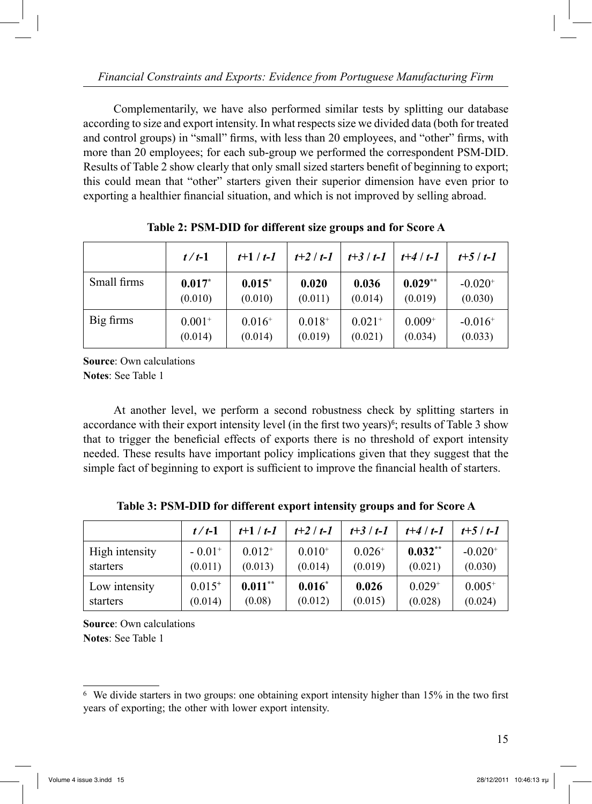Complementarily, we have also performed similar tests by splitting our database according to size and export intensity. In what respects size we divided data (both for treated and control groups) in "small" firms, with less than 20 employees, and "other" firms, with more than 20 employees; for each sub-group we performed the correspondent PSM-DID. Results of Table 2 show clearly that only small sized starters benefit of beginning to export; this could mean that "other" starters given their superior dimension have even prior to exporting a healthier financial situation, and which is not improved by selling abroad.

|             | $t/t-1$     | $t+1/t-1$   | $t+2/t-1$   | $t + 3/t - 1$ | $t+4/t-1$   | $t+5/t-1$             |
|-------------|-------------|-------------|-------------|---------------|-------------|-----------------------|
| Small firms | $0.017*$    | $0.015*$    | 0.020       | 0.036         | $0.029**$   | $-0.020$ <sup>+</sup> |
|             | (0.010)     | (0.010)     | (0.011)     | (0.014)       | (0.019)     | (0.030)               |
| Big firms   | $0.001^{+}$ | $0.016^{+}$ | $0.018^{+}$ | $0.021^{+}$   | $0.009^{+}$ | $-0.016$ <sup>+</sup> |
|             | (0.014)     | (0.014)     | (0.019)     | (0.021)       | (0.034)     | (0.033)               |

**Table 2: PSM-DID for different size groups and for Score A** 

**Source**: Own calculations **Notes**: See Table 1

 At another level, we perform a second robustness check by splitting starters in accordance with their export intensity level (in the first two years)<sup> $6$ </sup>; results of Table 3 show that to trigger the beneficial effects of exports there is no threshold of export intensity needed. These results have important policy implications given that they suggest that the simple fact of beginning to export is sufficient to improve the financial health of starters.

|                | $t/t-1$              | $t+1/t-1$   | $t+2/t-1$   | $t+3/t-1$   | $t+4/t-1$   | $t+5/t-1$             |
|----------------|----------------------|-------------|-------------|-------------|-------------|-----------------------|
| High intensity | $-0.01$ <sup>+</sup> | $0.012^{+}$ | $0.010^{+}$ | $0.026^{+}$ | $0.032**$   | $-0.020$ <sup>+</sup> |
| starters       | (0.011)              | (0.013)     | (0.014)     | (0.019)     | (0.021)     | (0.030)               |
| Low intensity  | $0.015^{+}$          | $0.011**$   | $0.016*$    | 0.026       | $0.029^{+}$ | $0.005^{+}$           |
| starters       | (0.014)              | (0.08)      | (0.012)     | (0.015)     | (0.028)     | (0.024)               |

**Table 3: PSM-DID for different export intensity groups and for Score A** 

**Source**: Own calculations **Notes**: See Table 1

<sup>6</sup> We divide starters in two groups: one obtaining export intensity higher than 15% in the two first years of exporting; the other with lower export intensity.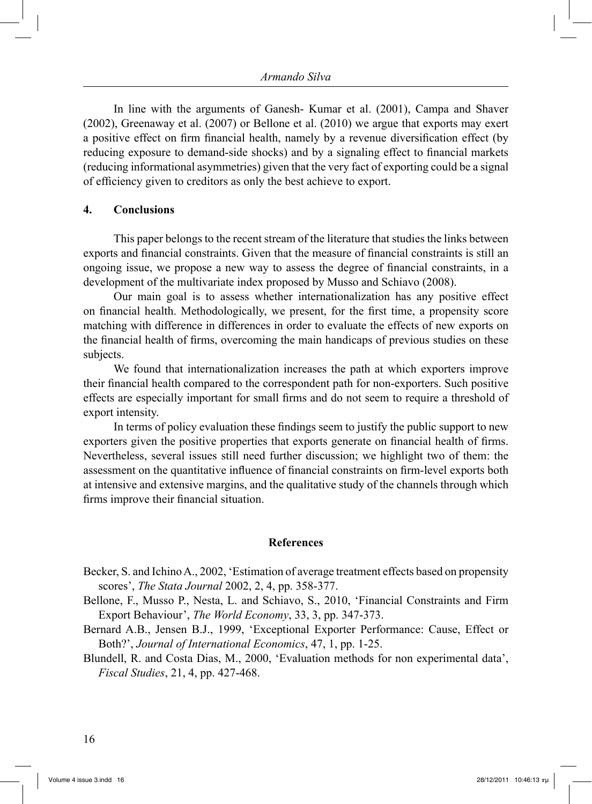In line with the arguments of Ganesh- Kumar et al. (2001), Campa and Shaver (2002), Greenaway et al. (2007) or Bellone et al. (2010) we argue that exports may exert a positive effect on firm financial health, namely by a revenue diversification effect (by reducing exposure to demand-side shocks) and by a signaling effect to financial markets (reducing informational asymmetries) given that the very fact of exporting could be a signal of efficiency given to creditors as only the best achieve to export.

#### **4. Conclusions**

 This paper belongs to the recent stream of the literature that studies the links between exports and financial constraints. Given that the measure of financial constraints is still an ongoing issue, we propose a new way to assess the degree of financial constraints, in a development of the multivariate index proposed by Musso and Schiavo (2008).

 Our main goal is to assess whether internationalization has any positive effect on financial health. Methodologically, we present, for the first time, a propensity score matching with difference in differences in order to evaluate the effects of new exports on the financial health of firms, overcoming the main handicaps of previous studies on these subjects.

 We found that internationalization increases the path at which exporters improve their financial health compared to the correspondent path for non-exporters. Such positive effects are especially important for small firms and do not seem to require a threshold of export intensity.

 In terms of policy evaluation these findings seem to justify the public support to new exporters given the positive properties that exports generate on financial health of firms. Nevertheless, several issues still need further discussion; we highlight two of them: the assessment on the quantitative influence of financial constraints on firm-level exports both at intensive and extensive margins, and the qualitative study of the channels through which firms improve their financial situation.

#### **References**

- Becker, S. and Ichino A., 2002, 'Estimation of average treatment effects based on propensity scores', *The Stata Journal* 2002, 2, 4, pp. 358-377.
- Bellone, F., Musso P., Nesta, L. and Schiavo, S., 2010, 'Financial Constraints and Firm Export Behaviour', *The World Economy*, 33, 3, pp. 347-373.
- Bernard A.B., Jensen B.J., 1999, 'Exceptional Exporter Performance: Cause, Effect or Both?', *Journal of International Economics*, 47, 1, pp. 1-25.
- Blundell, R. and Costa Dias, M., 2000, 'Evaluation methods for non experimental data', *Fiscal Studies*, 21, 4, pp. 427-468.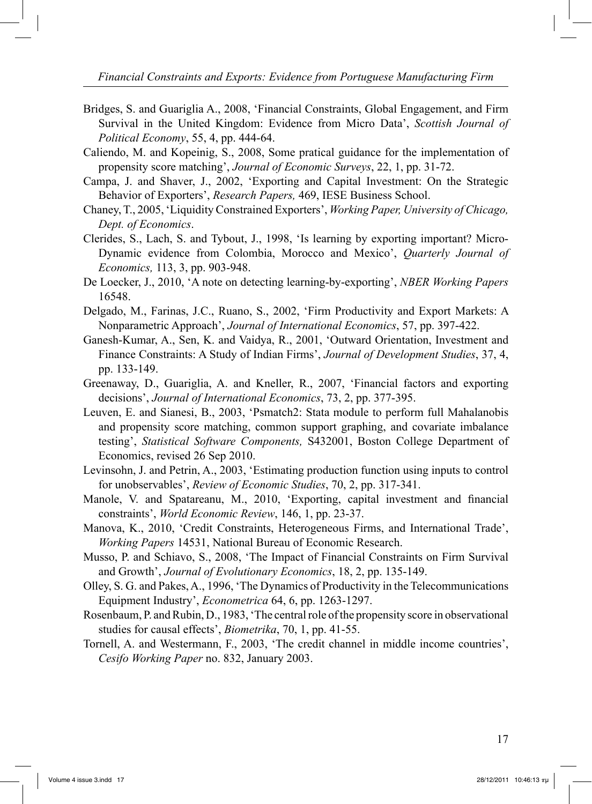*Financial Constraints and Exports: Evidence from Portuguese Manufacturing Firm*

- Bridges, S. and Guariglia A., 2008, 'Financial Constraints, Global Engagement, and Firm Survival in the United Kingdom: Evidence from Micro Data', *Scottish Journal of Political Economy*, 55, 4, pp. 444-64.
- Caliendo, M. and Kopeinig, S., 2008, Some pratical guidance for the implementation of propensity score matching', *Journal of Economic Surveys*, 22, 1, pp. 31-72.
- Campa, J. and Shaver, J., 2002, 'Exporting and Capital Investment: On the Strategic Behavior of Exporters', *Research Papers,* 469, IESE Business School.
- Chaney, T., 2005, 'Liquidity Constrained Exporters', *Working Paper, University of Chicago, Dept. of Economics*.
- Clerides, S., Lach, S. and Tybout, J., 1998, 'Is learning by exporting important? Micro-Dynamic evidence from Colombia, Morocco and Mexico', *Quarterly Journal of Economics,* 113, 3, pp. 903-948.
- De Loecker, J., 2010, 'A note on detecting learning-by-exporting', *NBER Working Papers* 16548.
- Delgado, M., Farinas, J.C., Ruano, S., 2002, 'Firm Productivity and Export Markets: A Nonparametric Approach', *Journal of International Economics*, 57, pp. 397-422.
- Ganesh-Kumar, A., Sen, K. and Vaidya, R., 2001, 'Outward Orientation, Investment and Finance Constraints: A Study of Indian Firms', *Journal of Development Studies*, 37, 4, pp. 133-149.
- Greenaway, D., Guariglia, A. and Kneller, R., 2007, 'Financial factors and exporting decisions', *Journal of International Economics*, 73, 2, pp. 377-395.
- Leuven, E. and Sianesi, B., 2003, 'Psmatch2: Stata module to perform full Mahalanobis and propensity score matching, common support graphing, and covariate imbalance testing', *Statistical Software Components,* S432001, Boston College Department of Economics, revised 26 Sep 2010.
- Levinsohn, J. and Petrin, A., 2003, 'Estimating production function using inputs to control for unobservables', *Review of Economic Studies*, 70, 2, pp. 317-341.
- Manole, V. and Spatareanu, M., 2010, 'Exporting, capital investment and financial constraints', *World Economic Review*, 146, 1, pp. 23-37.
- Manova, K., 2010, 'Credit Constraints, Heterogeneous Firms, and International Trade', *Working Papers* 14531, National Bureau of Economic Research.
- Musso, P. and Schiavo, S., 2008, 'The Impact of Financial Constraints on Firm Survival and Growth', *Journal of Evolutionary Economics*, 18, 2, pp. 135-149.
- Olley, S. G. and Pakes, A., 1996, 'The Dynamics of Productivity in the Telecommunications Equipment Industry', *Econometrica* 64, 6, pp. 1263-1297.
- Rosenbaum, P. and Rubin, D., 1983, 'The central role of the propensity score in observational studies for causal effects', *Biometrika*, 70, 1, pp. 41-55.
- Tornell, A. and Westermann, F., 2003, 'The credit channel in middle income countries', *Cesifo Working Paper* no. 832, January 2003.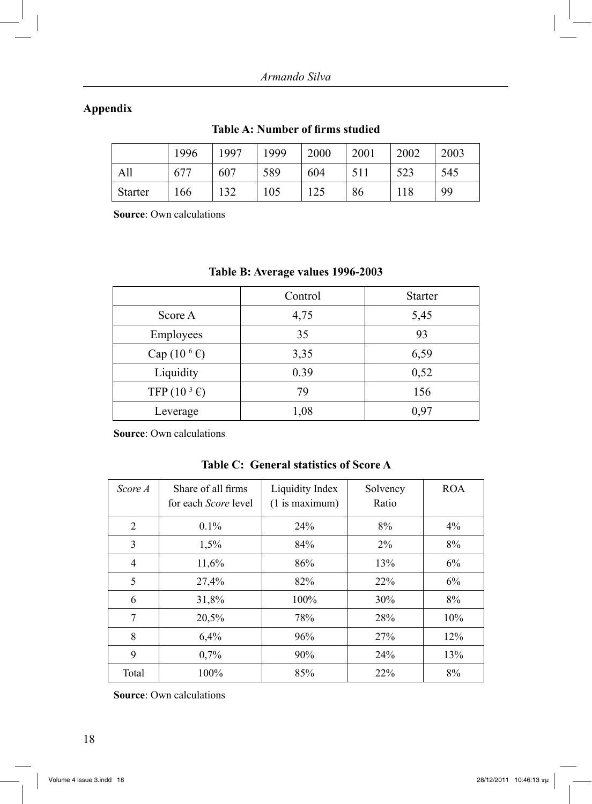# **Appendix**

|                | 1996 | 1997 | 1999 | 2000 | 2001 | 2002 | 2003 |
|----------------|------|------|------|------|------|------|------|
| All            | 677  | 607  | 589  | 604  | 511  | 523  | 545  |
| <b>Starter</b> | 166  | 132  | 105  | 125  | 86   | 118  | 99   |

# **Table A: Number of firms studied**

**Source**: Own calculations

|                                | Control | <b>Starter</b> |
|--------------------------------|---------|----------------|
| Score A                        | 4,75    | 5,45           |
| Employees                      | 35      | 93             |
| Cap $(10^6 \text{E})$          | 3,35    | 6,59           |
| Liquidity                      | 0.39    | 0,52           |
| TFP $(10^3 \text{ } \epsilon)$ | 79      | 156            |
| Leverage                       | 1,08    | 0,97           |

# **Table B: Average values 1996-2003**

**Source**: Own calculations

| Table C: General statistics of Score A |
|----------------------------------------|
|----------------------------------------|

| Score A | Share of all firms<br>for each <i>Score</i> level | Liquidity Index<br>$(1$ is maximum) | Solvency<br>Ratio | <b>ROA</b> |
|---------|---------------------------------------------------|-------------------------------------|-------------------|------------|
| 2       | $0.1\%$                                           | 24%                                 | 8%                | $4\%$      |
| 3       | 1,5%                                              | 84%                                 | $2\%$             | 8%         |
| 4       | 11,6%                                             | 86%                                 | 13%               | 6%         |
| 5       | 27,4%                                             | 82%                                 | 22%               | 6%         |
| 6       | 31,8%                                             | 100%                                | 30%               | 8%         |
| 7       | 20,5%                                             | 78%                                 | 28%               | 10%        |
| 8       | 6,4%                                              | 96%                                 | 27%               | 12%        |
| 9       | 0,7%                                              | 90%                                 | 24%               | 13%        |
| Total   | 100%                                              | 85%                                 | 22%               | 8%         |

**Source**: Own calculations